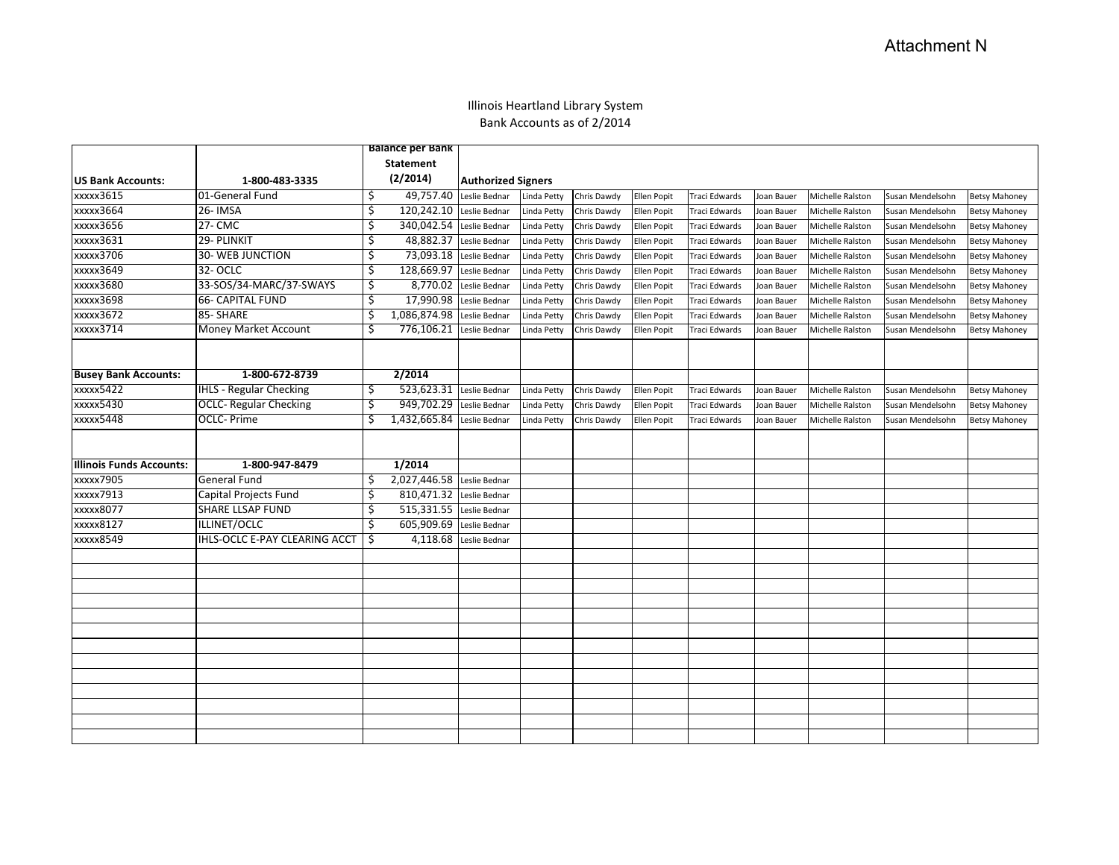## Illinois Heartland Library System Bank Accounts as of 2/2014

|                                 |                                      |     | <b>Balance per Bank</b>    |                           |             |             |                    |                      |            |                  |                  |                      |
|---------------------------------|--------------------------------------|-----|----------------------------|---------------------------|-------------|-------------|--------------------|----------------------|------------|------------------|------------------|----------------------|
|                                 |                                      |     | <b>Statement</b>           |                           |             |             |                    |                      |            |                  |                  |                      |
| <b>US Bank Accounts:</b>        | 1-800-483-3335                       |     | (2/2014)                   | <b>Authorized Signers</b> |             |             |                    |                      |            |                  |                  |                      |
| xxxxx3615                       | 01-General Fund                      | \$  | 49,757.40 Leslie Bednar    |                           | Linda Petty | Chris Dawdy | <b>Ellen Popit</b> | Traci Edwards        | Joan Bauer | Michelle Ralston | Susan Mendelsohn | <b>Betsy Mahoney</b> |
| xxxxx3664                       | 26- IMSA                             | Ŝ.  | 120,242.10 Leslie Bednar   |                           | Linda Petty | Chris Dawdy | <b>Ellen Popit</b> | <b>Traci Edwards</b> | Joan Bauer | Michelle Ralston | Susan Mendelsohn | <b>Betsy Mahoney</b> |
| xxxxx3656                       | <b>27-CMC</b>                        | Ŝ.  | 340,042.54 Leslie Bednar   |                           | Linda Petty | Chris Dawdy | <b>Ellen Popit</b> | <b>Traci Edwards</b> | Joan Bauer | Michelle Ralston | Susan Mendelsohn | <b>Betsy Mahoney</b> |
| xxxxx3631                       | 29- PLINKIT                          | \$  | 48,882.37                  | Leslie Bednar             | Linda Petty | Chris Dawdy | <b>Ellen Popit</b> | Traci Edwards        | Joan Bauer | Michelle Ralston | Susan Mendelsohn | <b>Betsy Mahoney</b> |
| xxxxx3706                       | <b>30- WEB JUNCTION</b>              | \$  | 73,093.18 Leslie Bednar    |                           | Linda Petty | Chris Dawdy | <b>Ellen Popit</b> | <b>Traci Edwards</b> | Joan Bauer | Michelle Ralston | Susan Mendelsohn | <b>Betsy Mahoney</b> |
| xxxxx3649                       | 32- OCLC                             | \$  | 128,669.97 Leslie Bednar   |                           | Linda Petty | Chris Dawdy | Ellen Popit        | Traci Edwards        | Joan Bauer | Michelle Ralston | Susan Mendelsohn | <b>Betsy Mahoney</b> |
| xxxxx3680                       | 33-SOS/34-MARC/37-SWAYS              | \$  |                            | 8,770.02 Leslie Bednar    | Linda Petty | Chris Dawdy | <b>Ellen Popit</b> | <b>Traci Edwards</b> | Joan Bauer | Michelle Ralston | Susan Mendelsohn | <b>Betsy Mahoney</b> |
| xxxxx3698                       | <b>66- CAPITAL FUND</b>              | \$  | 17,990.98 Leslie Bednar    |                           | Linda Petty | Chris Dawdy | <b>Ellen Popit</b> | Traci Edwards        | Joan Bauer | Michelle Ralston | Susan Mendelsohn | <b>Betsy Mahoney</b> |
| xxxxx3672                       | 85-SHARE                             | Ŝ.  | 1,086,874.98 Leslie Bednar |                           | Linda Petty | Chris Dawdy | <b>Ellen Popit</b> | <b>Traci Edwards</b> | Joan Bauer | Michelle Ralston | Susan Mendelsohn | <b>Betsy Mahoney</b> |
| xxxxx3714                       | Money Market Account                 | S   | 776,106.21 Leslie Bednar   |                           | Linda Petty | Chris Dawdy | <b>Ellen Popit</b> | Traci Edwards        | Joan Bauer | Michelle Ralston | Susan Mendelsohn | <b>Betsy Mahoney</b> |
|                                 |                                      |     |                            |                           |             |             |                    |                      |            |                  |                  |                      |
| <b>Busey Bank Accounts:</b>     | 1-800-672-8739                       |     | 2/2014                     |                           |             |             |                    |                      |            |                  |                  |                      |
| xxxxx5422                       | <b>IHLS - Regular Checking</b>       | \$  | 523,623.31 Leslie Bednar   |                           | Linda Petty | Chris Dawdy | <b>Ellen Popit</b> | Traci Edwards        | Joan Bauer | Michelle Ralston | Susan Mendelsohn | <b>Betsy Mahoney</b> |
| xxxxx5430                       | <b>OCLC- Regular Checking</b>        | \$  | 949,702.29 Leslie Bednar   |                           | Linda Petty | Chris Dawdy | <b>Ellen Popit</b> | <b>Traci Edwards</b> | Joan Bauer | Michelle Ralston | Susan Mendelsohn | <b>Betsy Mahoney</b> |
| xxxxx5448                       | <b>OCLC-Prime</b>                    |     | 1,432,665.84 Leslie Bednar |                           | Linda Petty | Chris Dawdy | <b>Ellen Popit</b> | Traci Edwards        | Joan Bauer | Michelle Ralston | Susan Mendelsohn | <b>Betsy Mahoney</b> |
|                                 |                                      |     |                            |                           |             |             |                    |                      |            |                  |                  |                      |
| <b>Illinois Funds Accounts:</b> | 1-800-947-8479                       |     | 1/2014                     |                           |             |             |                    |                      |            |                  |                  |                      |
| xxxxx7905                       | <b>General Fund</b>                  | \$. | 2,027,446.58 Leslie Bednar |                           |             |             |                    |                      |            |                  |                  |                      |
| xxxxx7913                       | Capital Projects Fund                | S   | 810,471.32 Leslie Bednar   |                           |             |             |                    |                      |            |                  |                  |                      |
| xxxxx8077                       | <b>SHARE LLSAP FUND</b>              | Ś   | 515,331.55 Leslie Bednar   |                           |             |             |                    |                      |            |                  |                  |                      |
| xxxxx8127                       | ILLINET/OCLC                         | Ŝ.  | 605,909.69 Leslie Bednar   |                           |             |             |                    |                      |            |                  |                  |                      |
| xxxxx8549                       | <b>IHLS-OCLC E-PAY CLEARING ACCT</b> | Ŝ.  |                            | 4,118.68 Leslie Bednar    |             |             |                    |                      |            |                  |                  |                      |
|                                 |                                      |     |                            |                           |             |             |                    |                      |            |                  |                  |                      |
|                                 |                                      |     |                            |                           |             |             |                    |                      |            |                  |                  |                      |
|                                 |                                      |     |                            |                           |             |             |                    |                      |            |                  |                  |                      |
|                                 |                                      |     |                            |                           |             |             |                    |                      |            |                  |                  |                      |
|                                 |                                      |     |                            |                           |             |             |                    |                      |            |                  |                  |                      |
|                                 |                                      |     |                            |                           |             |             |                    |                      |            |                  |                  |                      |
|                                 |                                      |     |                            |                           |             |             |                    |                      |            |                  |                  |                      |
|                                 |                                      |     |                            |                           |             |             |                    |                      |            |                  |                  |                      |
|                                 |                                      |     |                            |                           |             |             |                    |                      |            |                  |                  |                      |
|                                 |                                      |     |                            |                           |             |             |                    |                      |            |                  |                  |                      |
|                                 |                                      |     |                            |                           |             |             |                    |                      |            |                  |                  |                      |
|                                 |                                      |     |                            |                           |             |             |                    |                      |            |                  |                  |                      |
|                                 |                                      |     |                            |                           |             |             |                    |                      |            |                  |                  |                      |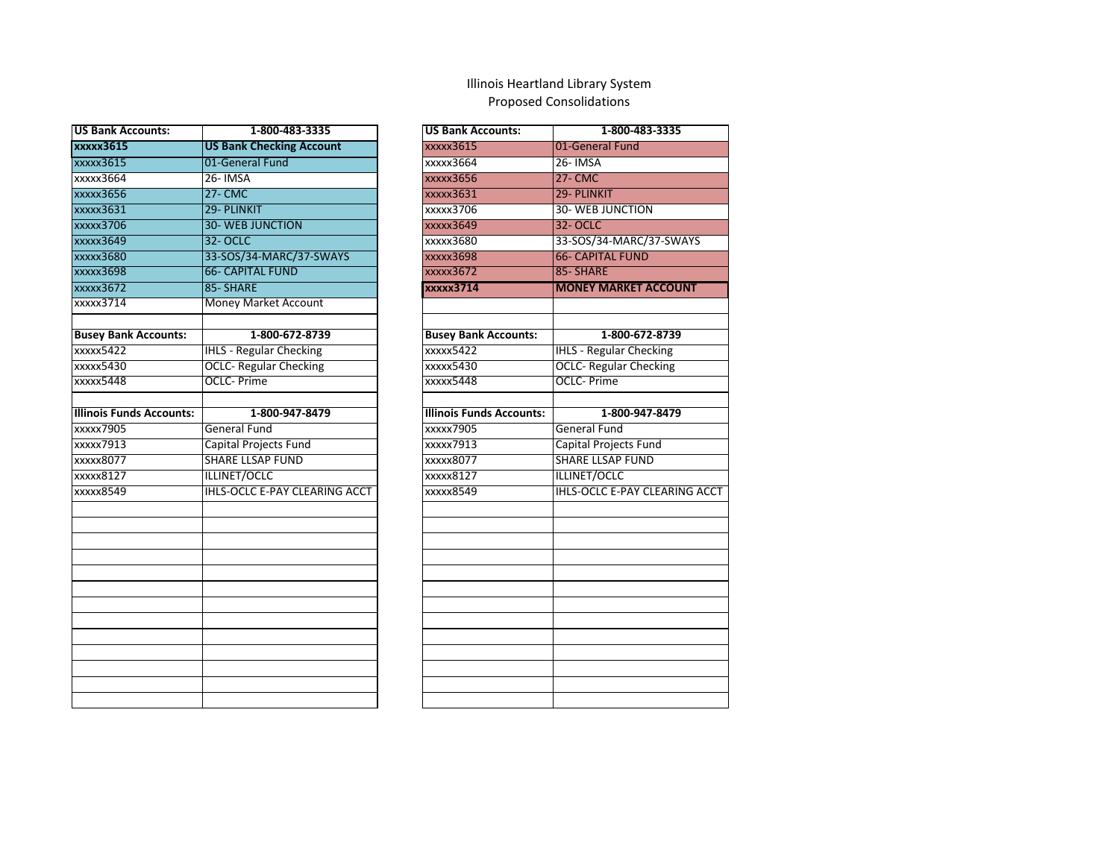## Illinois Heartland Library System Proposed Consolidations

| <b>US Bank Accounts:</b>        | 1-800-483-3335                       | <b>US Bank Accounts:</b>        | 1-800-483-3335                       |
|---------------------------------|--------------------------------------|---------------------------------|--------------------------------------|
| <b>XXXXX3615</b>                | <b>US Bank Checking Account</b>      | xxxxx3615                       | 01-General Fund                      |
| xxxxx3615                       | 01-General Fund                      | xxxxx3664                       | 26- IMSA                             |
| xxxxx3664                       | <b>26-IMSA</b>                       | xxxxx3656                       | <b>27-CMC</b>                        |
| xxxxx3656                       | <b>27-CMC</b>                        | xxxxx3631                       | 29- PLINKIT                          |
| xxxxx3631                       | 29- PLINKIT                          | xxxxx3706                       | <b>30- WEB JUNCTION</b>              |
| xxxxx3706                       | <b>30- WEB JUNCTION</b>              | xxxxx3649                       | <b>32- OCLC</b>                      |
| xxxxx3649                       | 32- OCLC                             | xxxxx3680                       | 33-SOS/34-MARC/37-SWAYS              |
| xxxxx3680                       | 33-SOS/34-MARC/37-SWAYS              | xxxxx3698                       | <b>66- CAPITAL FUND</b>              |
| xxxxx3698                       | <b>66- CAPITAL FUND</b>              | xxxxx3672                       | 85-SHARE                             |
| xxxxx3672                       | 85-SHARE                             | <b>XXXXX3714</b>                | <b>MONEY MARKET ACCOUNT</b>          |
| xxxxx3714                       | <b>Money Market Account</b>          |                                 |                                      |
| <b>Busey Bank Accounts:</b>     | 1-800-672-8739                       | <b>Busey Bank Accounts:</b>     | 1-800-672-8739                       |
| xxxxx5422                       | <b>IHLS - Regular Checking</b>       | xxxxx5422                       | <b>IHLS - Regular Checking</b>       |
| xxxxx5430                       | <b>OCLC- Regular Checking</b>        | xxxxx5430                       | <b>OCLC- Regular Checking</b>        |
| xxxxx5448                       | <b>OCLC-Prime</b>                    | xxxxx5448                       | <b>OCLC-Prime</b>                    |
|                                 |                                      |                                 |                                      |
| <b>Illinois Funds Accounts:</b> | 1-800-947-8479                       | <b>Illinois Funds Accounts:</b> | 1-800-947-8479                       |
| xxxxx7905                       | <b>General Fund</b>                  | xxxxx7905                       | <b>General Fund</b>                  |
| xxxxx7913                       | Capital Projects Fund                | xxxxx7913                       | Capital Projects Fund                |
| xxxxx8077                       | SHARE LLSAP FUND                     | xxxxx8077                       | <b>SHARE LLSAP FUND</b>              |
| <b>XXXX8127</b>                 | <b>ILLINET/OCLC</b>                  | xxxxx8127                       | <b>ILLINET/OCLC</b>                  |
| xxxxx8549                       | <b>IHLS-OCLC E-PAY CLEARING ACCT</b> | xxxxx8549                       | <b>IHLS-OCLC E-PAY CLEARING ACCT</b> |
|                                 |                                      |                                 |                                      |
|                                 |                                      |                                 |                                      |
|                                 |                                      |                                 |                                      |
|                                 |                                      |                                 |                                      |
|                                 |                                      |                                 |                                      |
|                                 |                                      |                                 |                                      |
|                                 |                                      |                                 |                                      |
|                                 |                                      |                                 |                                      |
|                                 |                                      |                                 |                                      |
|                                 |                                      |                                 |                                      |
|                                 |                                      |                                 |                                      |
|                                 |                                      |                                 |                                      |
|                                 |                                      |                                 |                                      |

| <b>US Bank Accounts:</b>        | 1-800-483-3335                       |
|---------------------------------|--------------------------------------|
| xxxxx3615                       | 01-General Fund                      |
| xxxxx3664                       | $26 -$ IMSA                          |
| xxxxx3656                       | $27 - CMC$                           |
| xxxxx3631                       | 29- PLINKIT                          |
| xxxxx3706                       | <b>30- WEB JUNCTION</b>              |
| xxxxx3649                       | <b>32- OCLC</b>                      |
| xxxxx3680                       | 33-SOS/34-MARC/37-SWAYS              |
| xxxxx3698                       | <b>66- CAPITAL FUND</b>              |
| xxxxx3672                       | 85-SHARE                             |
| xxxxx3714                       | <b>MONEY MARKET ACCOUNT</b>          |
|                                 |                                      |
|                                 |                                      |
| <b>Busey Bank Accounts:</b>     | 1-800-672-8739                       |
| xxxxx5422                       | <b>IHLS - Regular Checking</b>       |
| xxxxx5430                       | <b>OCLC-Regular Checking</b>         |
| xxxxx5448                       | <b>OCLC-Prime</b>                    |
|                                 |                                      |
| <b>Illinois Funds Accounts:</b> | 1-800-947-8479                       |
| xxxxx7905                       | <b>General Fund</b>                  |
| xxxxx7913                       | <b>Capital Projects Fund</b>         |
| xxxxx8077                       | <b>SHARE LLSAP FUND</b>              |
| xxxxx8127                       | <b>ILLINET/OCLC</b>                  |
| xxxxx8549                       | <b>IHLS-OCLC E-PAY CLEARING ACCT</b> |
|                                 |                                      |
|                                 |                                      |
|                                 |                                      |
|                                 |                                      |
|                                 |                                      |
|                                 |                                      |
|                                 |                                      |
|                                 |                                      |
|                                 |                                      |
|                                 |                                      |
|                                 |                                      |
|                                 |                                      |
|                                 |                                      |